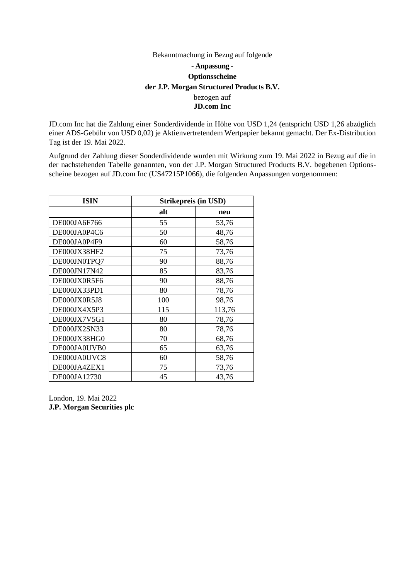## Bekanntmachung in Bezug auf folgende **- Anpassung - Optionsscheine der J.P. Morgan Structured Products B.V.** bezogen auf **JD.com Inc**

JD.com Inc hat die Zahlung einer Sonderdividende in Höhe von USD 1,24 (entspricht USD 1,26 abzüglich einer ADS-Gebühr von USD 0,02) je Aktienvertretendem Wertpapier bekannt gemacht. Der Ex-Distribution Tag ist der 19. Mai 2022.

Aufgrund der Zahlung dieser Sonderdividende wurden mit Wirkung zum 19. Mai 2022 in Bezug auf die in der nachstehenden Tabelle genannten, von der J.P. Morgan Structured Products B.V. begebenen Optionsscheine bezogen auf JD.com Inc (US47215P1066), die folgenden Anpassungen vorgenommen:

| <b>ISIN</b>  | Strikepreis (in USD) |        |
|--------------|----------------------|--------|
|              | alt                  | neu    |
| DE000JA6F766 | 55                   | 53,76  |
| DE000JA0P4C6 | 50                   | 48,76  |
| DE000JA0P4F9 | 60                   | 58,76  |
| DE000JX38HF2 | 75                   | 73,76  |
| DE000JN0TPQ7 | 90                   | 88,76  |
| DE000JN17N42 | 85                   | 83,76  |
| DE000JX0R5F6 | 90                   | 88,76  |
| DE000JX33PD1 | 80                   | 78,76  |
| DE000JX0R5J8 | 100                  | 98,76  |
| DE000JX4X5P3 | 115                  | 113,76 |
| DE000JX7V5G1 | 80                   | 78,76  |
| DE000JX2SN33 | 80                   | 78,76  |
| DE000JX38HG0 | 70                   | 68,76  |
| DE000JA0UVB0 | 65                   | 63,76  |
| DE000JA0UVC8 | 60                   | 58,76  |
| DE000JA4ZEX1 | 75                   | 73,76  |
| DE000JA12730 | 45                   | 43,76  |

London, 19. Mai 2022 **J.P. Morgan Securities plc**